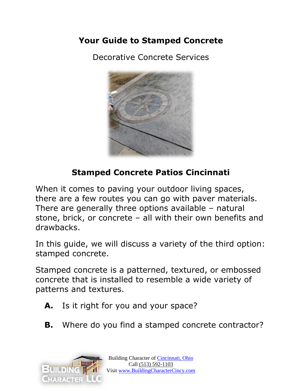### **Your Guide to Stamped Concrete**

Decorative Concrete Services



## **Stamped Concrete Patios Cincinnati**

When it comes to paving your outdoor living spaces, there are a few routes you can go with paver materials. There are generally three options available – natural stone, brick, or concrete – all with their own benefits and drawbacks.

In this guide, we will discuss a variety of the third option: stamped concrete.

Stamped concrete is a patterned, textured, or embossed concrete that is installed to resemble a wide variety of patterns and textures.

- **A.** Is it right for you and your space?
- **B.** Where do you find a stamped concrete contractor?

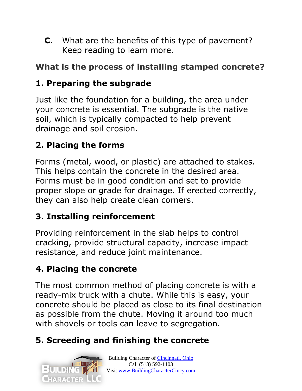**C.** What are the benefits of this type of pavement? Keep reading to learn more.

## **What is the process of installing stamped concrete?**

## **1. Preparing the subgrade**

Just like the foundation for a building, the area under your concrete is essential. The subgrade is the native soil, which is typically compacted to help prevent drainage and soil erosion.

# **2. Placing the forms**

Forms (metal, wood, or plastic) are attached to stakes. This helps contain the concrete in the desired area. Forms must be in good condition and set to provide proper slope or grade for drainage. If erected correctly, they can also help create clean corners.

## **3. Installing reinforcement**

Providing reinforcement in the slab helps to control cracking, provide structural capacity, increase impact resistance, and reduce joint maintenance.

## **4. Placing the concrete**

The most common method of placing concrete is with a ready-mix truck with a chute. While this is easy, your concrete should be placed as close to its final destination as possible from the chute. Moving it around too much with shovels or tools can leave to segregation.

# **5. Screeding and finishing the concrete**

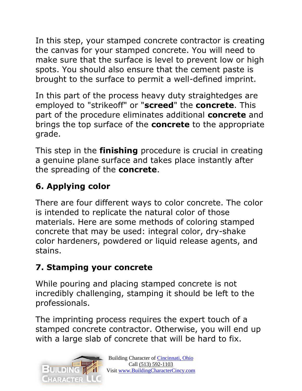In this step, your stamped concrete contractor is creating the canvas for your stamped concrete. You will need to make sure that the surface is level to prevent low or high spots. You should also ensure that the cement paste is brought to the surface to permit a well-defined imprint.

In this part of the process heavy duty straightedges are employed to "strikeoff" or "**screed**" the **concrete**. This part of the procedure eliminates additional **concrete** and brings the top surface of the **concrete** to the appropriate grade.

This step in the **finishing** procedure is crucial in creating a genuine plane surface and takes place instantly after the spreading of the **concrete**.

# **6. Applying color**

There are four different ways to color concrete. The color is intended to replicate the natural color of those materials. Here are some methods of coloring stamped concrete that may be used: integral color, dry-shake color hardeners, powdered or liquid release agents, and stains.

# **7. Stamping your concrete**

While pouring and placing stamped concrete is not incredibly challenging, stamping it should be left to the professionals.

The imprinting process requires the expert touch of a stamped concrete contractor. Otherwise, you will end up with a large slab of concrete that will be hard to fix.

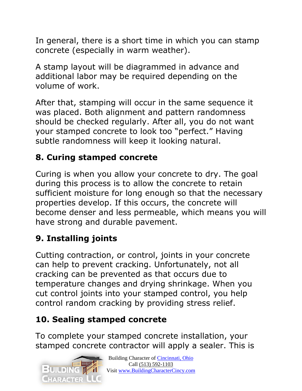In general, there is a short time in which you can stamp concrete (especially in warm weather).

A stamp layout will be diagrammed in advance and additional labor may be required depending on the volume of work.

After that, stamping will occur in the same sequence it was placed. Both alignment and pattern randomness should be checked regularly. After all, you do not want your stamped concrete to look too "perfect." Having subtle randomness will keep it looking natural.

## **8. Curing stamped concrete**

Curing is when you allow your concrete to dry. The goal during this process is to allow the concrete to retain sufficient moisture for long enough so that the necessary properties develop. If this occurs, the concrete will become denser and less permeable, which means you will have strong and durable pavement.

## **9. Installing joints**

Cutting contraction, or control, joints in your concrete can help to prevent cracking. Unfortunately, not all cracking can be prevented as that occurs due to temperature changes and drying shrinkage. When you cut control joints into your stamped control, you help control random cracking by providing stress relief.

## **10. Sealing stamped concrete**

To complete your stamped concrete installation, your stamped concrete contractor will apply a sealer. This is

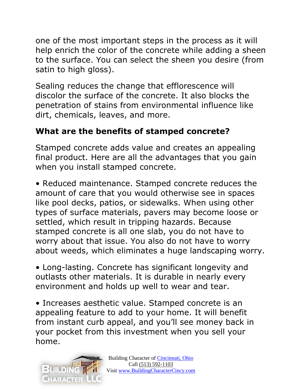one of the most important steps in the process as it will help enrich the color of the concrete while adding a sheen to the surface. You can select the sheen you desire (from satin to high gloss).

Sealing reduces the change that efflorescence will discolor the surface of the concrete. It also blocks the penetration of stains from environmental influence like dirt, chemicals, leaves, and more.

### **What are the benefits of stamped concrete?**

Stamped concrete adds value and creates an appealing final product. Here are all the advantages that you gain when you install stamped concrete.

• Reduced maintenance. Stamped concrete reduces the amount of care that you would otherwise see in spaces like pool decks, patios, or sidewalks. When using other types of surface materials, pavers may become loose or settled, which result in tripping hazards. Because stamped concrete is all one slab, you do not have to worry about that issue. You also do not have to worry about weeds, which eliminates a huge landscaping worry.

• Long-lasting. Concrete has significant longevity and outlasts other materials. It is durable in nearly every environment and holds up well to wear and tear.

• Increases aesthetic value. Stamped concrete is an appealing feature to add to your home. It will benefit from instant curb appeal, and you'll see money back in your pocket from this investment when you sell your home.

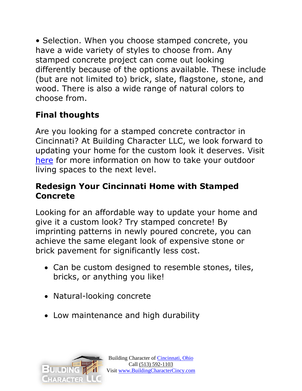• Selection. When you choose stamped concrete, you have a wide variety of styles to choose from. Any stamped concrete project can come out looking differently because of the options available. These include (but are not limited to) brick, slate, flagstone, stone, and wood. There is also a wide range of natural colors to choose from.

# **Final thoughts**

Are you looking for a stamped concrete contractor in Cincinnati? At Building Character LLC, we look forward to updating your home for the custom look it deserves. Visit [here](https://buildingcharactercincy.com/best-cincinnati-contractors/) for more information on how to take your outdoor living spaces to the next level.

#### **Redesign Your Cincinnati Home with Stamped Concrete**

Looking for an affordable way to update your home and give it a custom look? Try stamped concrete! By imprinting patterns in newly poured concrete, you can achieve the same elegant look of expensive stone or brick pavement for significantly less cost.

- Can be custom designed to resemble stones, tiles, bricks, or anything you like!
- Natural-looking concrete
- Low maintenance and high durability